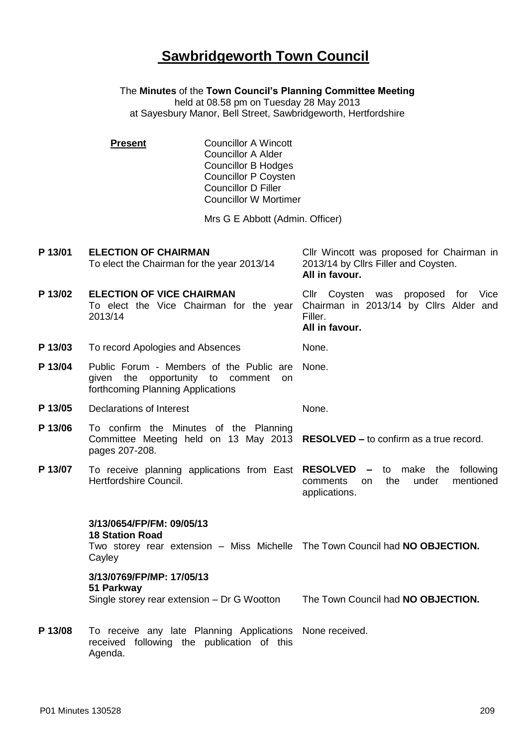## **Sawbridgeworth Town Council**

The **Minutes** of the **Town Council's Planning Committee Meeting** held at 08.58 pm on Tuesday 28 May 2013 at Sayesbury Manor, Bell Street, Sawbridgeworth, Hertfordshire

| <b>Present</b> | <b>Councillor A Wincott</b><br><b>Councillor A Alder</b> |
|----------------|----------------------------------------------------------|
|                | <b>Councillor B Hodges</b>                               |
|                | <b>Councillor P Coysten</b>                              |
|                | <b>Councillor D Filler</b>                               |
|                | <b>Councillor W Mortimer</b>                             |
|                |                                                          |

Mrs G E Abbott (Admin. Officer)

**P 13/01 ELECTION OF CHAIRMAN** To elect the Chairman for the year 2013/14 Cllr Wincott was proposed for Chairman in 2013/14 by Cllrs Filler and Coysten. **All in favour. P 13/02 ELECTION OF VICE CHAIRMAN** To elect the Vice Chairman for the year 2013/14 Cllr Coysten was proposed for Vice Chairman in 2013/14 by Cllrs Alder and Filler. **All in favour. P 13/03** To record Apologies and Absences None. **P 13/04** Public Forum - Members of the Public are given the opportunity to comment on forthcoming Planning Applications None. **P 13/05** Declarations of Interest None. **P 13/06** To confirm the Minutes of the Planning Committee Meeting held on 13 May 2013 **RESOLVED –** to confirm as a true record. pages 207-208. **P 13/07** To receive planning applications from East **RESOLVED –** to make the following Hertfordshire Council. comments on the under mentioned applications. **3/13/0654/FP/FM: 09/05/13 18 Station Road** Two storey rear extension - Miss Michelle The Town Council had **NO OBJECTION**. **Cayley 3/13/0769/FP/MP: 17/05/13 51 Parkway** Single storey rear extension – Dr G Wootton The Town Council had **NO OBJECTION. P 13/08** To receive any late Planning Applications None received. received following the publication of this Agenda.